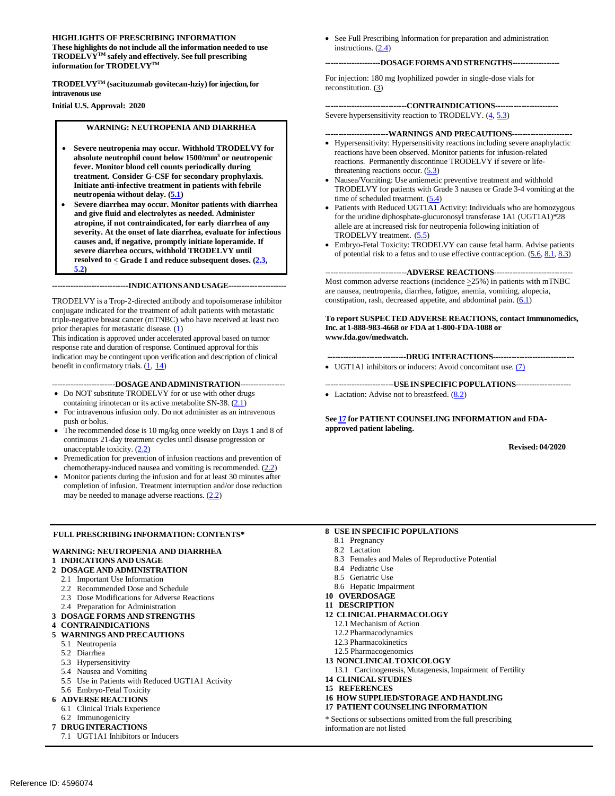#### **These highlights do not include all the information needed to use TRODELVYTM safely and effectively. See full prescribing information for TRODELVYTM HIGHLIGHTS OF PRESCRIBING INFORMATION**

 **TRODELVYTM (sacituzumab govitecan-hziy) for injection, for intravenous use** 

 **Initial U.S. Approval: 2020** 

#### **WARNING: NEUTROPENIA AND DIARRHEA**

- • **Severe neutropenia may occur. Withhold TRODELVY for absolute neutrophil count below 1500/mm3 or neutropenic fever. Monitor blood cell counts periodically during treatment. Consider G-CSF for secondary prophylaxis. Initiate anti-infective treatment in patients with febrile neutropenia without delay. [\(5.1\)](#page-4-0)**
- **and give fluid and electrolytes as needed. Administer atropine, if not contraindicated, for early diarrhea of any resolved to < Grade 1 and reduce subsequent doses. [\(2.3,](#page-2-0)**  Severe diarrhea may occur. Monitor patients with diarrhea **severity. At the onset of late diarrhea, evaluate for infectious causes and, if negative, promptly initiate loperamide. If severe diarrhea occurs, withhold TRODELVY until [5.2\)](#page-4-1)**

 **-----------------------------INDICATIONSANDUSAGE---------------------**

 TRODELVY is a Trop-2-directed antibody and topoisomerase inhibitor conjugate indicated for the treatment of adult patients with metastatic triple-negative breast cancer (mTNBC) who have received at least two prior therapies for metastatic disease. [\(1\)](#page-1-0)

 response rate and duration of response. Continued approval for this This indication is approved under accelerated approval based on tumor indication may be contingent upon verification and description of clinical benefit in confirmatory trials.  $(1, 14)$  $(1, 14)$ 

 **------------------------DOSAGE ANDADMINISTRATION----------------**

- Do NOT substitute TRODELVY for or use with other drugs containing irinotecan or its active metabolite SN-38. [\(2.1\)](#page-1-1)
- For intravenous infusion only. Do not administer as an intravenous push or bolus.
- The recommended dose is 10 mg/kg once weekly on Days 1 and 8 of continuous 21-day treatment cycles until disease progression or unacceptable toxicity.  $(2.2)$
- • Premedication for prevention of infusion reactions and prevention of chemotherapy-induced nausea and vomiting is recommended.  $(2.2)$
- • Monitor patients during the infusion and for at least 30 minutes after completion of infusion. Treatment interruption and/or dose reduction may be needed to manage adverse reactions.  $(2.2)$

#### **FULL PRESCRIBING INFORMATION: CONTENTS\***

#### **WARNING: NEUTROPENIA AND DIARRHEA**

#### **1 INDICATIONS AND USAGE**

- **2 DOSAGE AND ADMINISTRATION**
- 2.1 Important Use Information
- 2.2 Recommended Dose and Schedule
- 2.3 Dose Modifications for Adverse Reactions
- 2.4 Preparation for Administration
- **3 DOSAGE FORMS AND STRENGTHS**
- **4 CONTRAINDICATIONS**

#### **5 WARNINGS AND PRECAUTIONS**

- 5.1 Neutropenia
- 5.2 Diarrhea
- 5.3 Hypersensitivity
- 5.4 Nausea and Vomiting
- 5.5 Use in Patients with Reduced UGT1A1 Activity
- 5.6 Embryo-Fetal Toxicity
- **6 ADVERSE REACTIONS** 
	- 6.1 Clinical Trials Experience
	- 6.2 Immunogenicity
- **7 DRUGINTERACTIONS** 
	- 7.1 UGT1A1 Inhibitors or Inducers

 • See Full Prescribing Information for preparation and administration instructions. [\(2.4\)](#page-3-0)

#### **---------------------DOSAGE FORMS AND STRENGTHS-----------------**

For injection: 180 mg lyophilized powder in single-dose vials for reconstitution. [\(3\)](#page-3-1)

**-------------------------------CONTRAINDICATIONS-----------------------** Severe hypersensitivity reaction to TRODELVY.  $(4, 5.3)$  $(4, 5.3)$ 

 **------------------------WARNINGS AND PRECAUTIONS----------------------**

- reactions. Permanently discontinue TRODELVY if severe or lifethreatening reactions occur.  $(5.3)$ • Hypersensitivity: Hypersensitivity reactions including severe anaphylactic reactions have been observed. Monitor patients for infusion-related
- TRODELVY for patients with Grade 3 nausea or Grade 3-4 vomiting at the Nausea/Vomiting: Use antiemetic preventive treatment and withhold time of scheduled treatment. [\(5.4\)](#page-5-0)
- allele are at increased risk for neutropenia following initiation of • Patients with Reduced UGT1A1 Activity: Individuals who are homozygous for the uridine diphosphate-glucuronosyl transferase 1A1 (UGT1A1)\*28 TRODELVY treatment. [\(5.5\)](#page-5-1)
- Embryo-Fetal Toxicity: TRODELVY can cause fetal harm. Advise patients of potential risk to a fetus and to use effective contraception.  $(5.6, 8.1, 8.3)$  $(5.6, 8.1, 8.3)$  $(5.6, 8.1, 8.3)$

#### **-------------------------------ADVERSE REACTIONS-----------------------------**

Most common adverse reactions (incidence  $\geq$ 25%) in patients with mTNBC are nausea, neutropenia, diarrhea, fatigue, anemia, vomiting, alopecia, constipation, rash, decreased appetite, and abdominal pain.  $(6.1)$ 

#### **To report SUSPECTED ADVERSE REACTIONS, contact Immunomedics, Inc. at 1-888-983-4668 or FDA at 1-800-FDA-1088 or www.fda.gov/medwatch.**

#### **------------------------------DRUG INTERACTIONS------------------------------**

• UGT1A1 inhibitors or inducers: Avoid concomitant use. (7)

 **--------------------------USE IN SPECIFIC POPULATIONS--------------------** • Lactation: Advise not to breastfeed. [\(8.2\)](#page-10-3)

 **Se[e 17 f](#page-15-0)or PATIENT COUNSELING INFORMATION and FDA- approved patient labeling. Revised: 04/2020** 

**Revised: 04/2020** 

#### **8 USE IN SPECIFIC POPULATIONS**

- 8.1 Pregnancy
- 8.2 Lactation
- 8.3 Females and Males of Reproductive Potential
- 8.4 Pediatric Use
- 8.5 Geriatric Use
- 8.6 Hepatic Impairment
- **10 OVERDOSAGE**
- **11 DESCRIPTION**
- **12 CLINICALPHARMACOLOGY** 
	- 12.1 Mechanism of Action
	- 12.2 Pharmacodynamics
	- 12.3 Pharmacokinetics
	- 12.5 Pharmacogenomics
- **13 NONCLINICALTOXICOLOGY**
- 13.1 Carcinogenesis, Mutagenesis, Impairment of Fertility
- **14 CLINICAL STUDIES**
- **15 REFERENCES**
- **16 HOW SUPPLIED/STORAGE AND HANDLING**
- **17 PATIENT COUNSELING INFORMATION**

 \* Sections or subsections omitted from the full prescribing information are not listed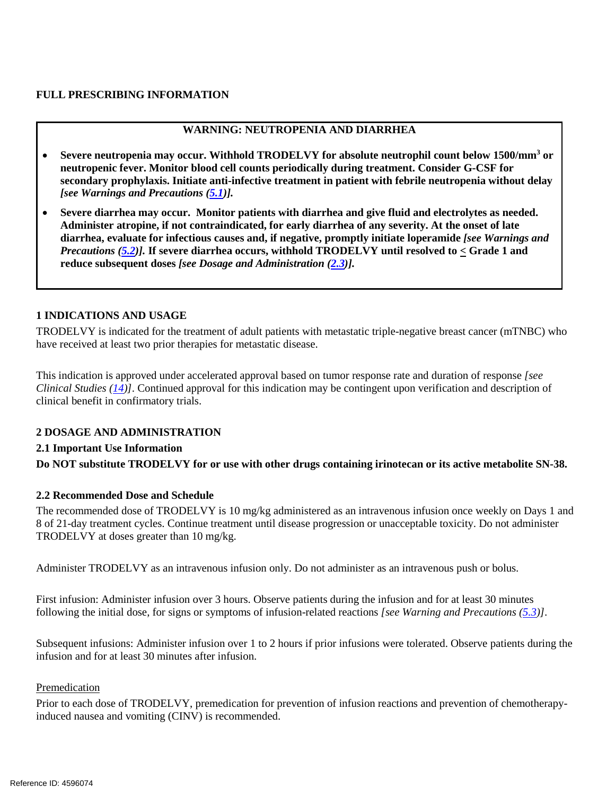## **FULL PRESCRIBING INFORMATION**

# **WARNING: NEUTROPENIA AND DIARRHEA**

- **Severe neutropenia may occur. Withhold TRODELVY for absolute neutrophil count below 1500/mm3 or neutropenic fever. Monitor blood cell counts periodically during treatment. Consider G-CSF for secondary prophylaxis. Initiate anti-infective treatment in patient with febrile neutropenia without delay**  *[see Warnings and Precautions [\(5.1\)](#page-4-0)].*
- **Severe diarrhea may occur. Monitor patients with diarrhea and give fluid and electrolytes as needed. diarrhea, evaluate for infectious causes and, if negative, promptly initiate loperamide** *[see Warnings and*   *Precautions [\(5.2\)](#page-4-1)].* **If severe diarrhea occurs, withhold TRODELVY until resolved to < Grade 1 and Administer atropine, if not contraindicated, for early diarrhea of any severity. At the onset of late reduce subsequent doses** *[see Dosage and Administration [\(2.3\)](#page-2-0)].*

#### <span id="page-1-0"></span>**1 INDICATIONS AND USAGE**

 TRODELVY is indicated for the treatment of adult patients with metastatic triple-negative breast cancer (mTNBC) who have received at least two prior therapies for metastatic disease.

 have received at least two prior therapies for metastatic disease. This indication is approved under accelerated approval based on tumor response rate and duration of response *[see Clinical Studies [\(14\)](#page-14-0)]*. Continued approval for this indication may be contingent upon verification and description of clinical benefit in confirmatory trials.

#### <span id="page-1-1"></span>**2 DOSAGE AND ADMINISTRATION**

# **2.1 Important Use Information**

 **Do NOT substitute TRODELVY for or use with other drugs containing irinotecan or its active metabolite SN-38.**

#### <span id="page-1-2"></span>**2.2 Recommended Dose and Schedule**

 The recommended dose of TRODELVY is 10 mg/kg administered as an intravenous infusion once weekly on Days 1 and 8 of 21-day treatment cycles. Continue treatment until disease progression or unacceptable toxicity. Do not administer TRODELVY at doses greater than 10 mg/kg.

Administer TRODELVY as an intravenous infusion only. Do not administer as an intravenous push or bolus.

 First infusion: Administer infusion over 3 hours. Observe patients during the infusion and for at least 30 minutes following the initial dose, for signs or symptoms of infusion-related reactions *[see Warning and Precautions [\(5.3\)](#page-4-2)]*.

 Subsequent infusions: Administer infusion over 1 to 2 hours if prior infusions were tolerated. Observe patients during the infusion and for at least 30 minutes after infusion.

#### Premedication

Prior to each dose of TRODELVY, premedication for prevention of infusion reactions and prevention of chemotherapyinduced nausea and vomiting (CINV) is recommended.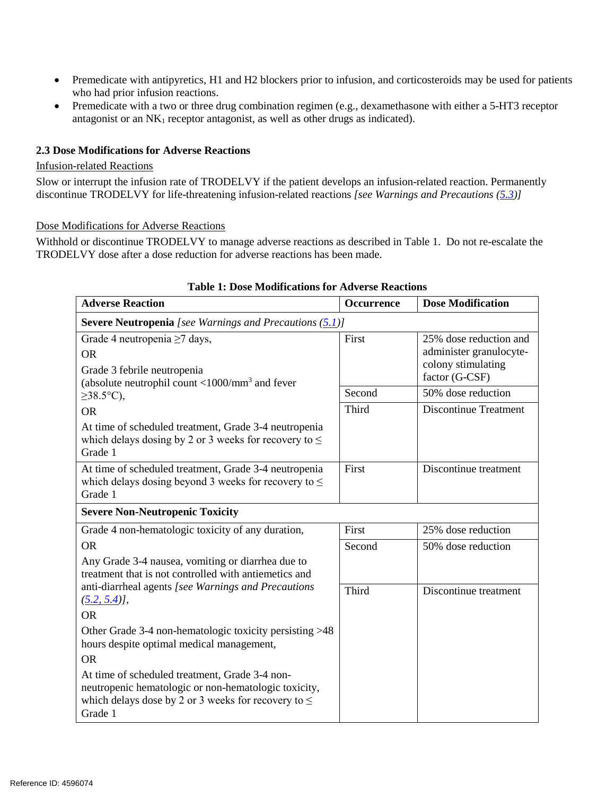- Premedicate with antipyretics, H1 and H2 blockers prior to infusion, and corticosteroids may be used for patients who had prior infusion reactions.
- Premedicate with a two or three drug combination regimen (e.g., dexamethasone with either a 5-HT3 receptor antagonist or an  $NK_1$  receptor antagonist, as well as other drugs as indicated).

# <span id="page-2-0"></span>**2.3 Dose Modifications for Adverse Reactions**

#### Infusion-related Reactions

Slow or interrupt the infusion rate of TRODELVY if the patient develops an infusion-related reaction. Permanently discontinue TRODELVY for life-threatening infusion-related reactions *[see Warnings and Precautions [\(5.3\)](#page-4-2)]* 

#### Dose Modifications for Adverse Reactions

 Withhold or discontinue TRODELVY to manage adverse reactions as described in Table 1. Do not re-escalate the TRODELVY dose after a dose reduction for adverse reactions has been made.

| <b>Adverse Reaction</b>                                                                                                                                                       | Occurrence | <b>Dose Modification</b>                          |
|-------------------------------------------------------------------------------------------------------------------------------------------------------------------------------|------------|---------------------------------------------------|
| <b>Severe Neutropenia</b> [see Warnings and Precautions $(5.1)$ ]                                                                                                             |            |                                                   |
| Grade 4 neutropenia $\geq$ 7 days,<br><b>OR</b>                                                                                                                               | First      | 25% dose reduction and<br>administer granulocyte- |
| Grade 3 febrile neutropenia<br>(absolute neutrophil count $\langle 1000/nm^3$ and fever                                                                                       |            | colony stimulating<br>factor (G-CSF)              |
| $\geq$ 38.5°C),                                                                                                                                                               | Second     | 50% dose reduction                                |
| <b>OR</b>                                                                                                                                                                     | Third      | <b>Discontinue Treatment</b>                      |
| At time of scheduled treatment, Grade 3-4 neutropenia<br>which delays dosing by 2 or 3 weeks for recovery to $\leq$<br>Grade 1                                                |            |                                                   |
| At time of scheduled treatment, Grade 3-4 neutropenia<br>which delays dosing beyond 3 weeks for recovery to $\leq$<br>Grade 1                                                 | First      | Discontinue treatment                             |
| <b>Severe Non-Neutropenic Toxicity</b>                                                                                                                                        |            |                                                   |
| Grade 4 non-hematologic toxicity of any duration,                                                                                                                             | First      | 25% dose reduction                                |
| <b>OR</b>                                                                                                                                                                     | Second     | 50% dose reduction                                |
| Any Grade 3-4 nausea, vomiting or diarrhea due to<br>treatment that is not controlled with antiemetics and                                                                    |            |                                                   |
| anti-diarrheal agents [see Warnings and Precautions<br>$(5.2, 5.4)$ ,                                                                                                         | Third      | Discontinue treatment                             |
| <b>OR</b>                                                                                                                                                                     |            |                                                   |
| Other Grade 3-4 non-hematologic toxicity persisting >48<br>hours despite optimal medical management,                                                                          |            |                                                   |
| <b>OR</b>                                                                                                                                                                     |            |                                                   |
| At time of scheduled treatment, Grade 3-4 non-<br>neutropenic hematologic or non-hematologic toxicity,<br>which delays dose by 2 or 3 weeks for recovery to $\leq$<br>Grade 1 |            |                                                   |

#### **Table 1: Dose Modifications for Adverse Reactions**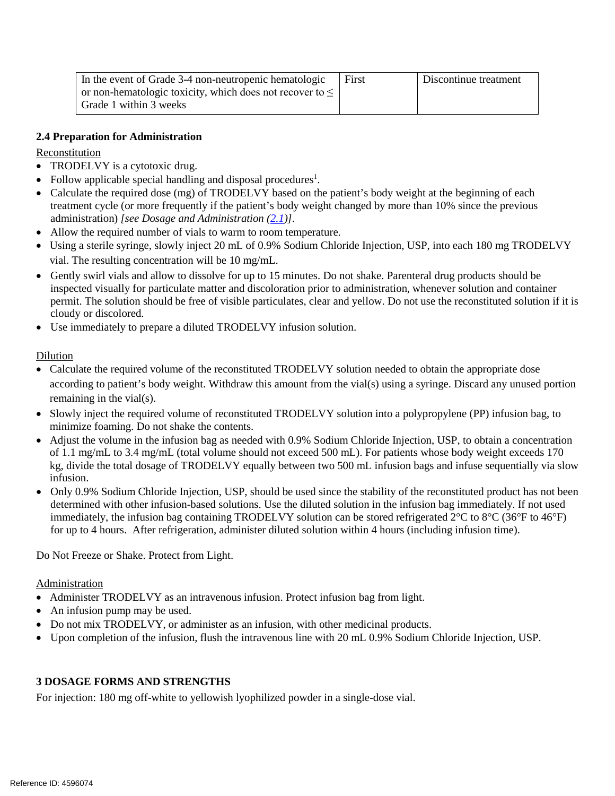<span id="page-3-2"></span>

| In the event of Grade 3-4 non-neutropenic hematologic         | First | Discontinue treatment |
|---------------------------------------------------------------|-------|-----------------------|
| or non-hematologic toxicity, which does not recover to $\leq$ |       |                       |
| Grade 1 within 3 weeks                                        |       |                       |

# <span id="page-3-0"></span>**2.4 Preparation for Administration**

Reconstitution

- TRODELVY is a cytotoxic drug.
- Follow applicable special handling and disposal procedures<sup>1</sup>.
- Calculate the required dose (mg) of TRODELVY based on the patient's body weight at the beginning of each treatment cycle (or more frequently if the patient's body weight changed by more than 10% since the previous administration) *[see Dosage and Administration [\(2.1\)](#page-1-2)]*.
- Allow the required number of vials to warm to room temperature.
- Using a sterile syringe, slowly inject 20 mL of 0.9% Sodium Chloride Injection, USP, into each 180 mg TRODELVY vial. The resulting concentration will be 10 mg/mL.
- permit. The solution should be free of visible particulates, clear and yellow. Do not use the reconstituted solution if it is • Gently swirl vials and allow to dissolve for up to 15 minutes. Do not shake. Parenteral drug products should be inspected visually for particulate matter and discoloration prior to administration, whenever solution and container cloudy or discolored.
- Use immediately to prepare a diluted TRODELVY infusion solution.

# Dilution

- according to patient's body weight. Withdraw this amount from the vial(s) using a syringe. Discard any unused portion • Calculate the required volume of the reconstituted TRODELVY solution needed to obtain the appropriate dose remaining in the vial(s).
- minimize foaming. Do not shake the contents. • Slowly inject the required volume of reconstituted TRODELVY solution into a polypropylene (PP) infusion bag, to
- of 1.1 mg/mL to 3.4 mg/mL (total volume should not exceed 500 mL). For patients whose body weight exceeds 170 kg, divide the total dosage of TRODELVY equally between two 500 mL infusion bags and infuse sequentially via slow • Adjust the volume in the infusion bag as needed with 0.9% Sodium Chloride Injection, USP, to obtain a concentration infusion.
- immediately, the infusion bag containing TRODELVY solution can be stored refrigerated 2°C to 8°C (36°F to 46°F) • Only 0.9% Sodium Chloride Injection, USP, should be used since the stability of the reconstituted product has not been determined with other infusion-based solutions. Use the diluted solution in the infusion bag immediately. If not used for up to 4 hours. After refrigeration, administer diluted solution within 4 hours (including infusion time).

Do Not Freeze or Shake. Protect from Light.

Administration

- Administer TRODELVY as an intravenous infusion. Protect infusion bag from light.
- An infusion pump may be used.
- Do not mix TRODELVY, or administer as an infusion, with other medicinal products.
- Upon completion of the infusion, flush the intravenous line with 20 mL 0.9% Sodium Chloride Injection, USP.

# <span id="page-3-1"></span>**3 DOSAGE FORMS AND STRENGTHS**

For injection: 180 mg off-white to yellowish lyophilized powder in a single-dose vial.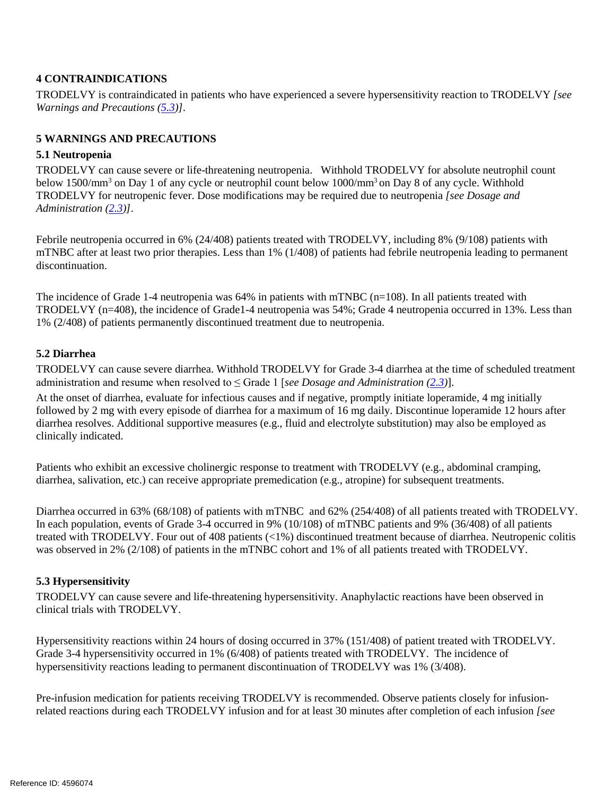## **4 CONTRAINDICATIONS**

TRODELVY is contraindicated in patients who have experienced a severe hypersensitivity reaction to TRODELVY *[see Warnings and Precautions [\(5.3\)](#page-4-2)]*.

# **5 WARNINGS AND PRECAUTIONS**

## <span id="page-4-0"></span>**5.1 Neutropenia**

TRODELVY can cause severe or life-threatening neutropenia. Withhold TRODELVY for absolute neutrophil count below 1500/mm3 on Day 1 of any cycle or neutrophil count below 1000/mm3 on Day 8 of any cycle. Withhold TRODELVY for neutropenic fever. Dose modifications may be required due to neutropenia *[see Dosage and Administration [\(2.3\)](#page-2-0)]*.

 mTNBC after at least two prior therapies. Less than 1% (1/408) of patients had febrile neutropenia leading to permanent Febrile neutropenia occurred in 6% (24/408) patients treated with TRODELVY, including 8% (9/108) patients with discontinuation.

 The incidence of Grade 1-4 neutropenia was 64% in patients with mTNBC (n=108). In all patients treated with TRODELVY (n=408), the incidence of Grade1-4 neutropenia was 54%; Grade 4 neutropenia occurred in 13%. Less than 1% (2/408) of patients permanently discontinued treatment due to neutropenia.

# <span id="page-4-1"></span>**5.2 Diarrhea**

TRODELVY can cause severe diarrhea. Withhold TRODELVY for Grade 3-4 diarrhea at the time of scheduled treatment administration and resume when resolved to ≤ Grade 1 [*see Dosage and Administration [\(2.3\)](#page-2-0)*].

 followed by 2 mg with every episode of diarrhea for a maximum of 16 mg daily. Discontinue loperamide 12 hours after diarrhea resolves. Additional supportive measures (e.g., fluid and electrolyte substitution) may also be employed as At the onset of diarrhea, evaluate for infectious causes and if negative, promptly initiate loperamide, 4 mg initially clinically indicated.

 diarrhea, salivation, etc.) can receive appropriate premedication (e.g., atropine) for subsequent treatments. Patients who exhibit an excessive cholinergic response to treatment with TRODELVY (e.g., abdominal cramping,

 Diarrhea occurred in 63% (68/108) of patients with mTNBC and 62% (254/408) of all patients treated with TRODELVY. In each population, events of Grade 3-4 occurred in 9% (10/108) of mTNBC patients and 9% (36/408) of all patients treated with TRODELVY. Four out of 408 patients (<1%) discontinued treatment because of diarrhea. Neutropenic colitis was observed in 2% (2/108) of patients in the mTNBC cohort and 1% of all patients treated with TRODELVY.

# <span id="page-4-2"></span>**5.3 Hypersensitivity**

 clinical trials with TRODELVY. TRODELVY can cause severe and life-threatening hypersensitivity. Anaphylactic reactions have been observed in

 Hypersensitivity reactions within 24 hours of dosing occurred in 37% (151/408) of patient treated with TRODELVY. Grade 3-4 hypersensitivity occurred in 1% (6/408) of patients treated with TRODELVY. The incidence of hypersensitivity reactions leading to permanent discontinuation of TRODELVY was 1% (3/408).

 Pre-infusion medication for patients receiving TRODELVY is recommended*.* Observe patients closely for infusion-related reactions during each TRODELVY infusion and for at least 30 minutes after completion of each infusion *[see*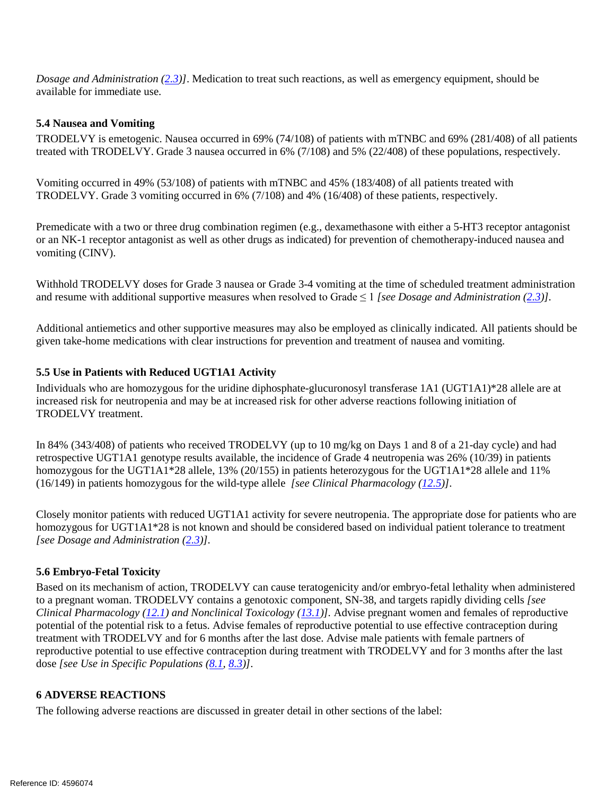*Dosage and Administration [\(2.3\)](#page-2-0)]*. Medication to treat such reactions, as well as emergency equipment, should be available for immediate use.

#### <span id="page-5-0"></span>**5.4 Nausea and Vomiting**

 TRODELVY is emetogenic. Nausea occurred in 69% (74/108) of patients with mTNBC and 69% (281/408) of all patients treated with TRODELVY. Grade 3 nausea occurred in 6% (7/108) and 5% (22/408) of these populations, respectively.

 Vomiting occurred in 49% (53/108) of patients with mTNBC and 45% (183/408) of all patients treated with TRODELVY. Grade 3 vomiting occurred in 6% (7/108) and 4% (16/408) of these patients, respectively.

 or an NK-1 receptor antagonist as well as other drugs as indicated) for prevention of chemotherapy-induced nausea and Premedicate with a two or three drug combination regimen (e.g., dexamethasone with either a 5-HT3 receptor antagonist vomiting (CINV).

 and resume with additional supportive measures when resolved to Grade ≤ 1 *[see Dosage and Administration [\(2.3\)](#page-2-0)].* Withhold TRODELVY doses for Grade 3 nausea or Grade 3-4 vomiting at the time of scheduled treatment administration

 given take-home medications with clear instructions for prevention and treatment of nausea and vomiting. Additional antiemetics and other supportive measures may also be employed as clinically indicated. All patients should be

#### <span id="page-5-3"></span><span id="page-5-1"></span> **5.5 Use in Patients with Reduced UGT1A1 Activity**

 Individuals who are homozygous for the uridine diphosphate-glucuronosyl transferase 1A1 (UGT1A1)\*28 allele are at TRODELVY treatment. increased risk for neutropenia and may be at increased risk for other adverse reactions following initiation of

 In 84% (343/408) of patients who received TRODELVY (up to 10 mg/kg on Days 1 and 8 of a 21-day cycle) and had retrospective UGT1A1 genotype results available, the incidence of Grade 4 neutropenia was 26% (10/39) in patients homozygous for the UGT1A1\*28 allele, 13% (20/155) in patients heterozygous for the UGT1A1\*28 allele and 11% (16/149) in patients homozygous for the wild-type allele *[see Clinical Pharmacology [\(12.5\)](#page-14-1)]*.

 Closely monitor patients with reduced UGT1A1 activity for severe neutropenia. The appropriate dose for patients who are homozygous for UGT1A1\*28 is not known and should be considered based on individual patient tolerance to treatment *[see Dosage and Administration [\(2.3\)](#page-2-0)].* 

#### <span id="page-5-2"></span>**5.6 Embryo-Fetal Toxicity**

 Based on its mechanism of action, TRODELVY can cause teratogenicity and/or embryo-fetal lethality when administered potential of the potential risk to a fetus. Advise females of reproductive potential to use effective contraception during treatment with TRODELVY and for 6 months after the last dose. Advise male patients with female partners of reproductive potential to use effective contraception during treatment with TRODELVY and for 3 months after the last to a pregnant woman. TRODELVY contains a genotoxic component, SN-38, and targets rapidly dividing cells *[see Clinical Pharmacology [\(12.1\)](#page-12-0) and Nonclinical Toxicology [\(13.1\)](#page-14-2)].* Advise pregnant women and females of reproductive dose *[see Use in Specific Populations [\(8.1,](#page-10-0) [8.3\)](#page-10-1)]*.

#### **6 ADVERSE REACTIONS**

The following adverse reactions are discussed in greater detail in other sections of the label: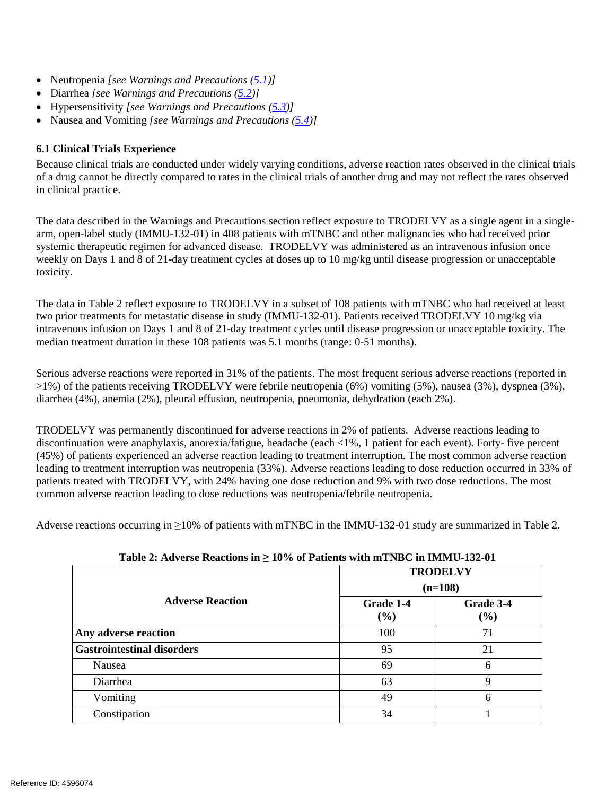- Neutropenia *[see Warnings and Precautions [\(5.1\)](#page-4-0)]*
- Diarrhea *[see Warnings and Precautions [\(5.2\)](#page-4-1)]*
- Hypersensitivity *[see Warnings and Precautions [\(5.3\)](#page-4-2)]*
- Nausea and Vomiting *[see Warnings and Precautions [\(5.4\)](#page-5-0)]*

# <span id="page-6-0"></span>**6.1 Clinical Trials Experience**

 Because clinical trials are conducted under widely varying conditions, adverse reaction rates observed in the clinical trials of a drug cannot be directly compared to rates in the clinical trials of another drug and may not reflect the rates observed in clinical practice.

 arm, open-label study (IMMU-132-01) in 408 patients with mTNBC and other malignancies who had received prior systemic therapeutic regimen for advanced disease. TRODELVY was administered as an intravenous infusion once toxicity. The data described in the Warnings and Precautions section reflect exposure to TRODELVY as a single agent in a singleweekly on Days 1 and 8 of 21-day treatment cycles at doses up to 10 mg/kg until disease progression or unacceptable

toxicity.<br>The data in Table 2 reflect exposure to TRODELVY in a subset of 108 patients with mTNBC who had received at least two prior treatments for metastatic disease in study (IMMU-132-01). Patients received TRODELVY 10 mg/kg via median treatment duration in these 108 patients was 5.1 months (range: 0-51 months). intravenous infusion on Days 1 and 8 of 21-day treatment cycles until disease progression or unacceptable toxicity. The

 Serious adverse reactions were reported in 31% of the patients. The most frequent serious adverse reactions (reported in >1%) of the patients receiving TRODELVY were febrile neutropenia (6%) vomiting (5%), nausea (3%), dyspnea (3%), diarrhea (4%), anemia (2%), pleural effusion, neutropenia, pneumonia, dehydration (each 2%).

 TRODELVY was permanently discontinued for adverse reactions in 2% of patients. Adverse reactions leading to discontinuation were anaphylaxis, anorexia/fatigue, headache (each <1%, 1 patient for each event). Forty- five percent leading to treatment interruption was neutropenia (33%). Adverse reactions leading to dose reduction occurred in 33% of patients treated with TRODELVY, with 24% having one dose reduction and 9% with two dose reductions. The most common adverse reaction leading to dose reductions was neutropenia/febrile neutropenia. (45%) of patients experienced an adverse reaction leading to treatment interruption. The most common adverse reaction

common adverse reaction leading to dose reductions was neutropenia/febrile neutropenia.<br>Adverse reactions occurring in ≥10% of patients with mTNBC in the IMMU-132-01 study are summarized in Table 2.

| $1.0000$ at the very negative in $\pm 0.70$ of 1 galaxies with mental $\omega$ on health $\omega$ and $\omega$ |                     |                     |
|----------------------------------------------------------------------------------------------------------------|---------------------|---------------------|
|                                                                                                                |                     | <b>TRODELVY</b>     |
|                                                                                                                |                     | $(n=108)$           |
| <b>Adverse Reaction</b>                                                                                        | Grade 1-4<br>$(\%)$ | Grade 3-4<br>$(\%)$ |
| Any adverse reaction                                                                                           | 100                 | 71                  |
| <b>Gastrointestinal disorders</b>                                                                              | 95                  | 21                  |
| Nausea                                                                                                         | 69                  | 6                   |
| Diarrhea                                                                                                       | 63                  | 9                   |
| Vomiting                                                                                                       | 49                  | 6                   |
| Constipation                                                                                                   | 34                  |                     |
|                                                                                                                |                     |                     |

**Table 2: Adverse Reactions in ≥ 10% of Patients with mTNBC in IMMU-132-01**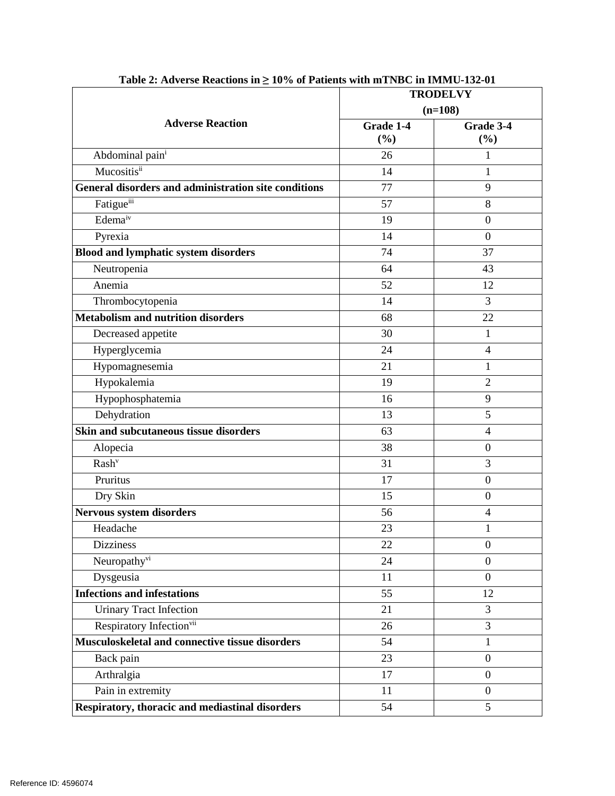|                                                      | <b>TRODELVY</b> |                  |
|------------------------------------------------------|-----------------|------------------|
| <b>Adverse Reaction</b>                              | $(n=108)$       |                  |
|                                                      | Grade 1-4       | Grade 3-4        |
|                                                      | (%)             | (%)              |
| Abdominal pain <sup>i</sup>                          | 26              | 1                |
| Mucositisii                                          | 14              | 1                |
| General disorders and administration site conditions | 77              | 9                |
| Fatigueiii                                           | 57              | 8                |
| Edema <sup>iv</sup>                                  | 19              | $\boldsymbol{0}$ |
| Pyrexia                                              | 14              | $\overline{0}$   |
| <b>Blood and lymphatic system disorders</b>          | 74              | 37               |
| Neutropenia                                          | 64              | 43               |
| Anemia                                               | 52              | 12               |
| Thrombocytopenia                                     | 14              | 3                |
| <b>Metabolism and nutrition disorders</b>            | 68              | 22               |
| Decreased appetite                                   | 30              | 1                |
| Hyperglycemia                                        | 24              | $\overline{4}$   |
| Hypomagnesemia                                       | 21              | 1                |
| Hypokalemia                                          | 19              | $\overline{2}$   |
| Hypophosphatemia                                     | 16              | 9                |
| Dehydration                                          | 13              | 5                |
| Skin and subcutaneous tissue disorders               | 63              | $\overline{4}$   |
| Alopecia                                             | 38              | $\boldsymbol{0}$ |
| Rash <sup>v</sup>                                    | 31              | 3                |
| Pruritus                                             | 17              | $\mathbf{0}$     |
| Dry Skin                                             | 15              | $\mathbf{0}$     |
| Nervous system disorders                             | 56              | $\overline{4}$   |
| Headache                                             | 23              | 1                |
| <b>Dizziness</b>                                     | 22              | $\boldsymbol{0}$ |
| Neuropathyvi                                         | 24              | $\boldsymbol{0}$ |
| Dysgeusia                                            | 11              | $\boldsymbol{0}$ |
| <b>Infections and infestations</b>                   | 55              | 12               |
| <b>Urinary Tract Infection</b>                       | 21              | 3                |
| Respiratory Infection <sup>vii</sup>                 | 26              | 3                |
| Musculoskeletal and connective tissue disorders      | 54              | 1                |
| Back pain                                            | 23              | $\overline{0}$   |
| Arthralgia                                           | 17              | $\boldsymbol{0}$ |
| Pain in extremity                                    | 11              | $\boldsymbol{0}$ |
| Respiratory, thoracic and mediastinal disorders      | 54              | 5                |

**Table 2: Adverse Reactions in ≥ 10% of Patients with mTNBC in IMMU-132-01**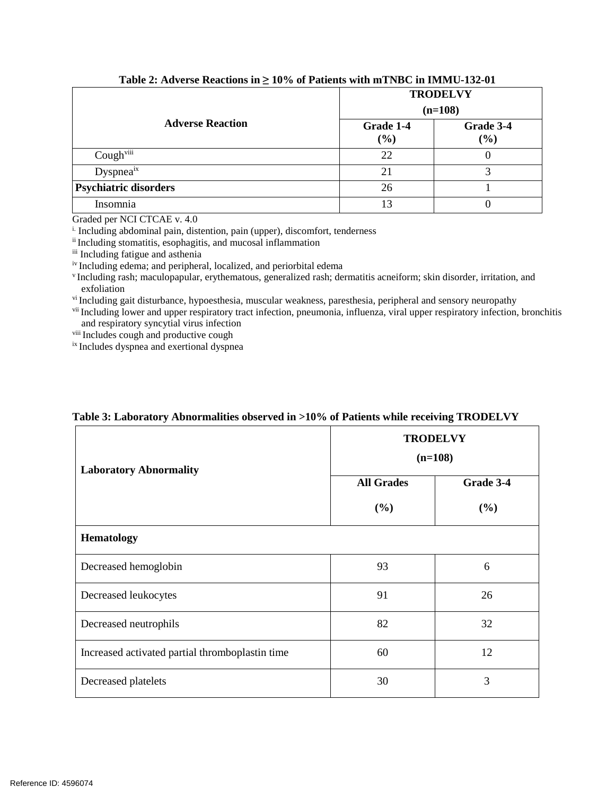|                              | <b>TRODELVY</b><br>$(n=108)$ |                  |
|------------------------------|------------------------------|------------------|
| <b>Adverse Reaction</b>      | Grade 1-4<br>$(\%)$          | Grade 3-4<br>(%) |
| Coughviii                    | 22                           | U                |
| Dyspneaix                    | 21                           | 2                |
| <b>Psychiatric disorders</b> | 26                           |                  |
| Insomnia                     | 13                           |                  |

**Table 2: Adverse Reactions in ≥ 10% of Patients with mTNBC in IMMU-132-01** 

Graded per NCI CTCAE v. 4.0

<sup>i.</sup> Including abdominal pain, distention, pain (upper), discomfort, tenderness ii Including stomatitis, esophagitis, and mucosal inflammation

iii Including fatigue and asthenia<br>iv Including edema; and peripheral, localized, and periorbital edema

<sup>v</sup> Including rash; maculopapular, erythematous, generalized rash; dermatitis acneiform; skin disorder, irritation, and exfoliation

vi Including gait disturbance, hypoesthesia, muscular weakness, paresthesia, peripheral and sensory neuropathy

vii Including lower and upper respiratory tract infection, pneumonia, influenza, viral upper respiratory infection, bronchitis and respiratory syncytial virus infection<br>viii Includes cough and productive cough

ix Includes dyspnea and exertional dyspnea

| <b>Laboratory Abnormality</b>                   | <b>TRODELVY</b><br>$(n=108)$ |           |  |
|-------------------------------------------------|------------------------------|-----------|--|
|                                                 | <b>All Grades</b>            | Grade 3-4 |  |
|                                                 | (%)                          | (%)       |  |
| <b>Hematology</b>                               |                              |           |  |
| Decreased hemoglobin                            | 93                           | 6         |  |
| Decreased leukocytes                            | 91                           | 26        |  |
| Decreased neutrophils                           | 82                           | 32        |  |
| Increased activated partial thromboplastin time | 60                           | 12        |  |
| Decreased platelets                             | 30                           | 3         |  |

# **Table 3: Laboratory Abnormalities observed in >10% of Patients while receiving TRODELVY**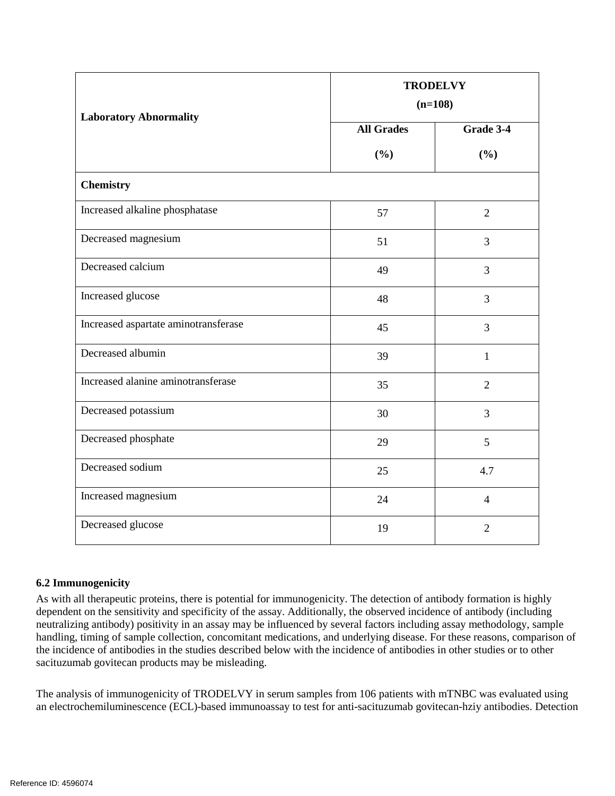| <b>Laboratory Abnormality</b>        | <b>TRODELVY</b><br>$(n=108)$ |                |
|--------------------------------------|------------------------------|----------------|
|                                      | <b>All Grades</b>            | Grade 3-4      |
|                                      | (%)                          | (%)            |
| <b>Chemistry</b>                     |                              |                |
| Increased alkaline phosphatase       | 57                           | $\overline{2}$ |
| Decreased magnesium                  | 51                           | $\overline{3}$ |
| Decreased calcium                    | 49                           | 3              |
| Increased glucose                    | 48                           | 3              |
| Increased aspartate aminotransferase | 45                           | 3              |
| Decreased albumin                    | 39                           | $\mathbf{1}$   |
| Increased alanine aminotransferase   | 35                           | $\overline{2}$ |
| Decreased potassium                  | 30                           | $\overline{3}$ |
| Decreased phosphate                  | 29                           | 5              |
| Decreased sodium                     | 25                           | 4.7            |
| Increased magnesium                  | 24                           | $\overline{4}$ |
| Decreased glucose                    | 19                           | $\overline{2}$ |

# **6.2 Immunogenicity**

 handling, timing of sample collection, concomitant medications, and underlying disease. For these reasons, comparison of the incidence of antibodies in the studies described below with the incidence of antibodies in other studies or to other As with all therapeutic proteins, there is potential for immunogenicity. The detection of antibody formation is highly dependent on the sensitivity and specificity of the assay. Additionally, the observed incidence of antibody (including neutralizing antibody) positivity in an assay may be influenced by several factors including assay methodology, sample sacituzumab govitecan products may be misleading.

 The analysis of immunogenicity of TRODELVY in serum samples from 106 patients with mTNBC was evaluated using an electrochemiluminescence (ECL)-based immunoassay to test for anti-sacituzumab govitecan-hziy antibodies. Detection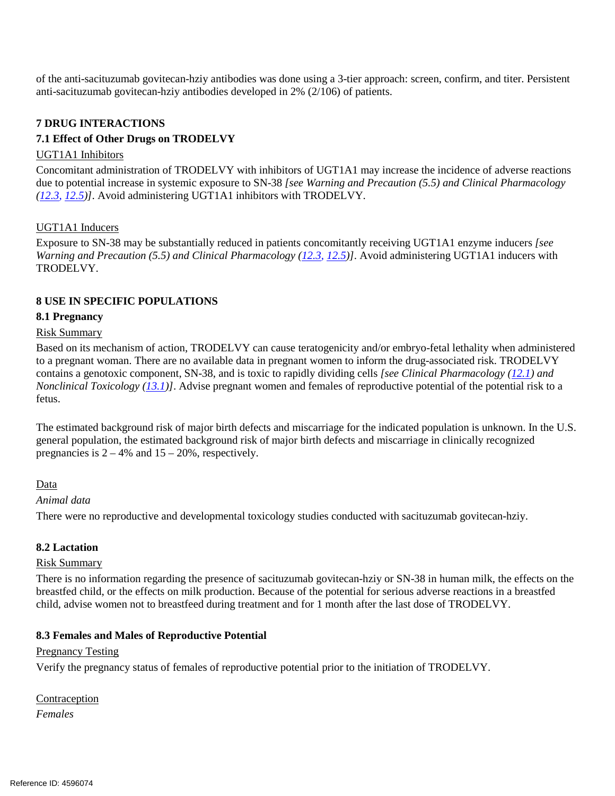of the anti-sacituzumab govitecan-hziy antibodies was done using a 3-tier approach: screen, confirm, and titer. Persistent anti-sacituzumab govitecan-hziy antibodies developed in 2% (2/106) of patients.

#### <span id="page-10-2"></span>**7 DRUG INTERACTIONS**

#### **7.1 Effect of Other Drugs on TRODELVY**

#### UGT1A1 Inhibitors

 due to potential increase in systemic exposure to SN-38 *[see Warning and Precaution (5.5) and Clinical Pharmacology*  Concomitant administration of TRODELVY with inhibitors of UGT1A1 may increase the incidence of adverse reactions *[\(12.3,](#page-13-0) [12.5\)](#page-14-1)]*. Avoid administering UGT1A1 inhibitors with TRODELVY.

# UGT1A1 Inducers

Exposure to SN-38 may be substantially reduced in patients concomitantly receiving UGT1A1 enzyme inducers *[see Warning and Precaution (5.5) and Clinical Pharmacology [\(12.3,](#page-13-0) [12.5\)](#page-14-1)]*. Avoid administering UGT1A1 inducers with TRODELVY.

#### <span id="page-10-4"></span>**8 USE IN SPECIFIC POPULATIONS**

#### <span id="page-10-0"></span>**8.1 Pregnancy**

#### Risk Summary

Based on its mechanism of action, TRODELVY can cause teratogenicity and/or embryo-fetal lethality when administered to a pregnant woman. There are no available data in pregnant women to inform the drug-associated risk. TRODELVY contains a genotoxic component, SN-38, and is toxic to rapidly dividing cells *[see Clinical Pharmacology [\(12.1\)](#page-12-0) and Nonclinical Toxicology [\(13.1\)](#page-14-2)]*. Advise pregnant women and females of reproductive potential of the potential risk to a fetus.

 The estimated background risk of major birth defects and miscarriage for the indicated population is unknown. In the U.S. general population, the estimated background risk of major birth defects and miscarriage in clinically recognized pregnancies is  $2 - 4\%$  and  $15 - 20\%$ , respectively.

#### Data

#### *Animal data*

There were no reproductive and developmental toxicology studies conducted with sacituzumab govitecan-hziy.

#### <span id="page-10-3"></span>**8.2 Lactation**

#### Risk Summary

 There is no information regarding the presence of sacituzumab govitecan-hziy or SN-38 in human milk, the effects on the breastfed child, or the effects on milk production. Because of the potential for serious adverse reactions in a breastfed child, advise women not to breastfeed during treatment and for 1 month after the last dose of TRODELVY.

#### <span id="page-10-1"></span> **8.3 Females and Males of Reproductive Potential**

#### **Pregnancy Testing**

Verify the pregnancy status of females of reproductive potential prior to the initiation of TRODELVY.

Contraception *Females*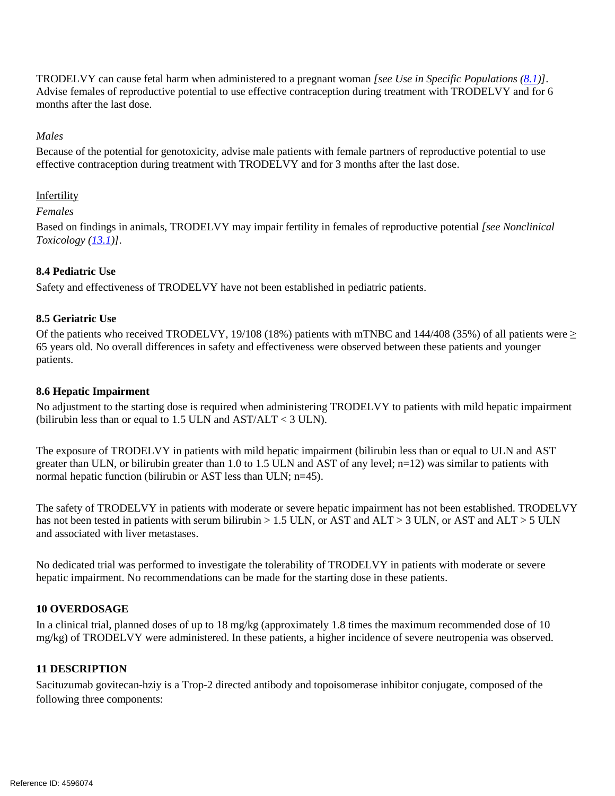TRODELVY can cause fetal harm when administered to a pregnant woman *[see Use in Specific Populations [\(8.1\)](#page-10-0)]*. Advise females of reproductive potential to use effective contraception during treatment with TRODELVY and for 6 months after the last dose.

# *Males*

 Because of the potential for genotoxicity, advise male patients with female partners of reproductive potential to use effective contraception during treatment with TRODELVY and for 3 months after the last dose.

## Infertility

#### *Females*

 Based on findings in animals, TRODELVY may impair fertility in females of reproductive potential *[see Nonclinical Toxicology [\(13.1\)](#page-14-2)]*.

# **8.4 Pediatric Use**

Safety and effectiveness of TRODELVY have not been established in pediatric patients.

# **8.5 Geriatric Use**

Of the patients who received TRODELVY, 19/108 (18%) patients with mTNBC and 144/408 (35%) of all patients were  $\geq$ 65 years old. No overall differences in safety and effectiveness were observed between these patients and younger patients.

# **8.6 Hepatic Impairment**

(bilirubin less than or equal to  $1.5$  ULN and  $AST/ALT < 3$  ULN). No adjustment to the starting dose is required when administering TRODELVY to patients with mild hepatic impairment

 The exposure of TRODELVY in patients with mild hepatic impairment (bilirubin less than or equal to ULN and AST greater than ULN, or bilirubin greater than 1.0 to 1.5 ULN and AST of any level; n=12) was similar to patients with normal hepatic function (bilirubin or AST less than ULN; n=45).

The safety of TRODELVY in patients with moderate or severe hepatic impairment has not been established. TRODELVY has not been tested in patients with serum bilirubin  $> 1.5$  ULN, or AST and ALT  $> 3$  ULN, or AST and ALT  $> 5$  ULN and associated with liver metastases.

No dedicated trial was performed to investigate the tolerability of TRODELVY in patients with moderate or severe hepatic impairment. No recommendations can be made for the starting dose in these patients.

# **10 OVERDOSAGE**

In a clinical trial, planned doses of up to 18 mg/kg (approximately 1.8 times the maximum recommended dose of 10 mg/kg) of TRODELVY were administered. In these patients, a higher incidence of severe neutropenia was observed.

# **11 DESCRIPTION**

 Sacituzumab govitecan-hziy is a Trop-2 directed antibody and topoisomerase inhibitor conjugate, composed of the following three components: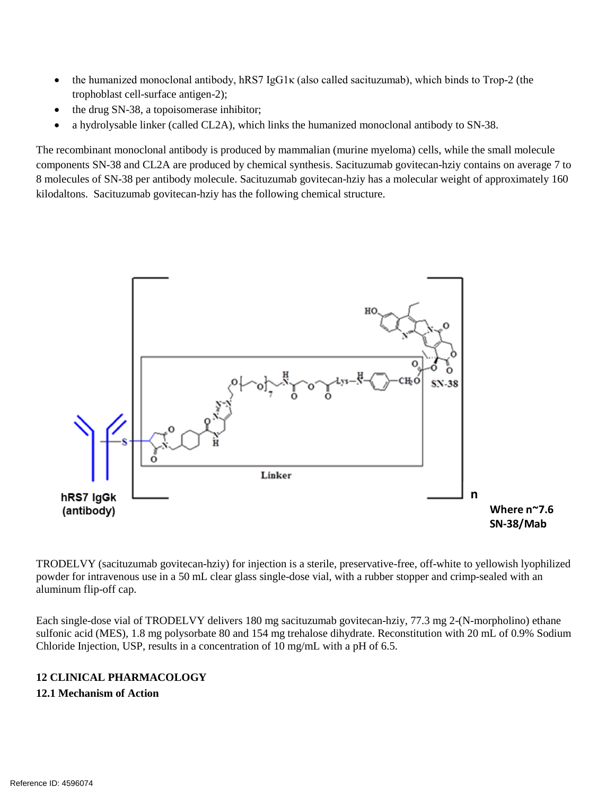- the humanized monoclonal antibody, hRS7 IgG1 $\kappa$  (also called sacituzumab), which binds to Trop-2 (the trophoblast cell-surface antigen-2);
- the drug SN-38, a topoisomerase inhibitor;
- a hydrolysable linker (called CL2A), which links the humanized monoclonal antibody to SN-38.

The recombinant monoclonal antibody is produced by mammalian (murine myeloma) cells, while the small molecule components SN-38 and CL2A are produced by chemical synthesis. Sacituzumab govitecan-hziy contains on average 7 to 8 molecules of SN-38 per antibody molecule. Sacituzumab govitecan-hziy has a molecular weight of approximately 160 kilodaltons. Sacituzumab govitecan-hziy has the following chemical structure.



 powder for intravenous use in a 50 mL clear glass single-dose vial, with a rubber stopper and crimp-sealed with an aluminum flip-off cap. TRODELVY (sacituzumab govitecan-hziy) for injection is a sterile, preservative-free, off-white to yellowish lyophilized

aluminum flip-off cap.<br>Each single-dose vial of TRODELVY delivers 180 mg sacituzumab govitecan-hziy, 77.3 mg 2-(N-morpholino) ethane sulfonic acid (MES), 1.8 mg polysorbate 80 and 154 mg trehalose dihydrate. Reconstitution with 20 mL of 0.9% Sodium Chloride Injection, USP, results in a concentration of 10 mg/mL with a pH of 6.5.

# **12 CLINICAL PHARMACOLOGY**

#### <span id="page-12-0"></span>**12.1 Mechanism of Action**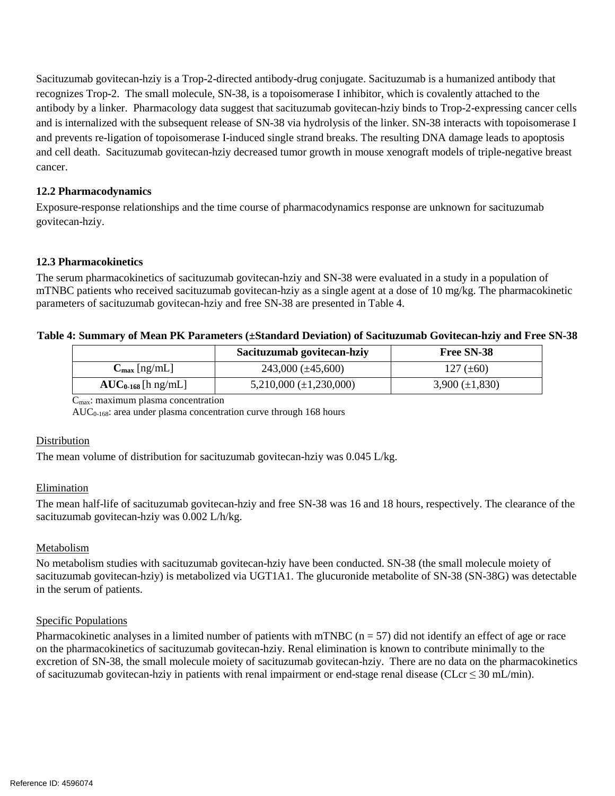and prevents re-ligation of topoisomerase I-induced single strand breaks. The resulting DNA damage leads to apoptosis and cell death. Sacituzumab govitecan-hziy decreased tumor growth in mouse xenograft models of triple-negative breast cancer. Sacituzumab govitecan-hziy is a Trop-2-directed antibody-drug conjugate. Sacituzumab is a humanized antibody that recognizes Trop-2. The small molecule, SN-38, is a topoisomerase I inhibitor, which is covalently attached to the antibody by a linker. Pharmacology data suggest that sacituzumab govitecan-hziy binds to Trop-2-expressing cancer cells and is internalized with the subsequent release of SN-38 via hydrolysis of the linker. SN-38 interacts with topoisomerase I

## **12.2 Pharmacodynamics**

 Exposure-response relationships and the time course of pharmacodynamics response are unknown for sacituzumab govitecan-hziy.

#### <span id="page-13-0"></span>**12.3 Pharmacokinetics**

 The serum pharmacokinetics of sacituzumab govitecan-hziy and SN-38 were evaluated in a study in a population of mTNBC patients who received sacituzumab govitecan-hziy as a single agent at a dose of 10 mg/kg. The pharmacokinetic parameters of sacituzumab govitecan-hziy and free SN-38 are presented in Table 4.

| Table 4: Summary of Mean PK Parameters (±Standard Deviation) of Sacituzumab Govitecan-hziy and Free SN-38 |                          |                               |                     |  |
|-----------------------------------------------------------------------------------------------------------|--------------------------|-------------------------------|---------------------|--|
|                                                                                                           |                          | Sacituzumab govitecan-hziy    | Free SN-38          |  |
|                                                                                                           | $C_{\text{max}}$ [ng/mL] | $243,000 \ (\pm 45,600)$      | 127 $(\pm 60)$      |  |
|                                                                                                           | $AUC_{0.168}$ [h ng/mL]  | $5,210,000 \ (\pm 1,230,000)$ | $3,900 (\pm 1,830)$ |  |

 $C<sub>max</sub>$ : maximum plasma concentration

 $AUC_{0.168}$ : area under plasma concentration curve through 168 hours

#### Distribution

The mean volume of distribution for sacituzumab govitecan-hziy was 0.045 L/kg.

#### Elimination

 The mean half-life of sacituzumab govitecan-hziy and free SN-38 was 16 and 18 hours, respectively. The clearance of the sacituzumab govitecan-hziy was 0.002 L/h/kg.

#### Metabolism

 No metabolism studies with sacituzumab govitecan-hziy have been conducted. SN-38 (the small molecule moiety of in the serum of patients. sacituzumab govitecan-hziy) is metabolized via UGT1A1. The glucuronide metabolite of SN-38 (SN-38G) was detectable

#### Specific Populations

Pharmacokinetic analyses in a limited number of patients with mTNBC ( $n = 57$ ) did not identify an effect of age or race excretion of SN-38, the small molecule moiety of sacituzumab govitecan-hziy. There are no data on the pharmacokinetics of sacituzumab govitecan-hziy in patients with renal impairment or end-stage renal disease (CLcr  $\leq$  30 mL/min). on the pharmacokinetics of sacituzumab govitecan-hziy. Renal elimination is known to contribute minimally to the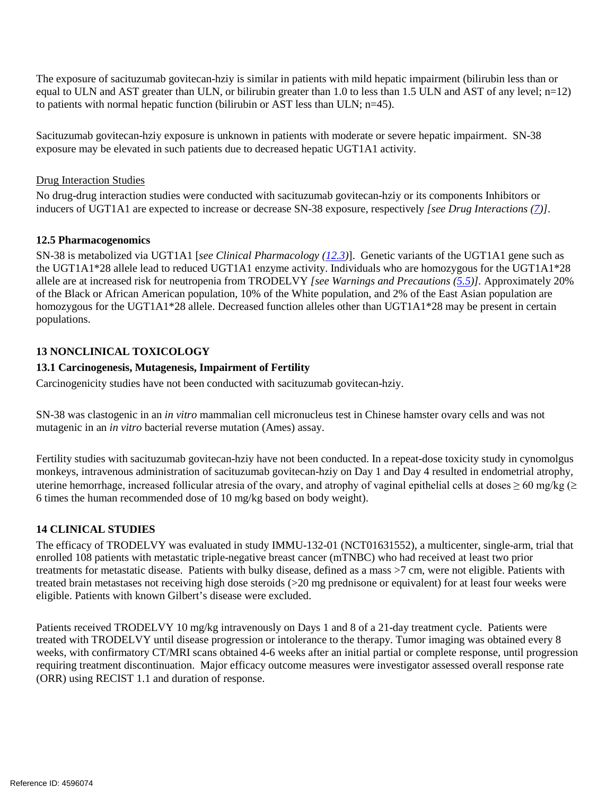The exposure of sacituzumab govitecan-hziy is similar in patients with mild hepatic impairment (bilirubin less than or to patients with normal hepatic function (bilirubin or AST less than ULN; n=45). equal to ULN and AST greater than ULN, or bilirubin greater than 1.0 to less than 1.5 ULN and AST of any level; n=12)

to patients with normal hepatic function (bilirubin or AST less than ULN; n=45).<br>Sacituzumab govitecan-hziy exposure is unknown in patients with moderate or severe hepatic impairment. SN-38 exposure may be elevated in such patients due to decreased hepatic UGT1A1 activity.

## **Drug Interaction Studies**

No drug-drug interaction studies were conducted with sacituzumab govitecan-hziy or its components Inhibitors or inducers of UGT1A1 are expected to increase or decrease SN-38 exposure, respectively *[see Drug Interactions [\(7\)](#page-10-2)]*.

# <span id="page-14-1"></span>**12.5 Pharmacogenomics**

 the UGT1A1\*28 allele lead to reduced UGT1A1 enzyme activity. Individuals who are homozygous for the UGT1A1\*28 SN-38 is metabolized via UGT1A1 [*see Clinical Pharmacology [\(12.3\)](#page-13-0)*]. Genetic variants of the UGT1A1 gene such as allele are at increased risk for neutropenia from TRODELVY *[see Warnings and Precautions [\(5.5\)](#page-5-3)].* Approximately 20% of the Black or African American population, 10% of the White population, and 2% of the East Asian population are homozygous for the UGT1A1\*28 allele. Decreased function alleles other than UGT1A1\*28 may be present in certain populations.

# **13 NONCLINICAL TOXICOLOGY**

# <span id="page-14-2"></span>**13.1 Carcinogenesis, Mutagenesis, Impairment of Fertility**

Carcinogenicity studies have not been conducted with sacituzumab govitecan-hziy.

 SN-38 was clastogenic in an *in vitro* mammalian cell micronucleus test in Chinese hamster ovary cells and was not mutagenic in an *in vitro* bacterial reverse mutation (Ames) assay.

mutagenic in an *in vitro* bacterial reverse mutation (Ames) assay.<br>Fertility studies with sacituzumab govitecan-hziy have not been conducted. In a repeat-dose toxicity study in cynomolgus uterine hemorrhage, increased follicular atresia of the ovary, and atrophy of vaginal epithelial cells at doses  $\geq 60$  mg/kg ( $\geq$ monkeys, intravenous administration of sacituzumab govitecan-hziy on Day 1 and Day 4 resulted in endometrial atrophy, 6 times the human recommended dose of 10 mg/kg based on body weight).

# <span id="page-14-0"></span>**14 CLINICAL STUDIES**

 enrolled 108 patients with metastatic triple-negative breast cancer (mTNBC) who had received at least two prior treated brain metastases not receiving high dose steroids (>20 mg prednisone or equivalent) for at least four weeks were eligible. Patients with known Gilbert's disease were excluded. The efficacy of TRODELVY was evaluated in study IMMU-132-01 (NCT01631552), a multicenter, single-arm, trial that treatments for metastatic disease. Patients with bulky disease, defined as a mass >7 cm, were not eligible. Patients with

eligible. Patients with known Gilbert's disease were excluded.<br>Patients received TRODELVY 10 mg/kg intravenously on Days 1 and 8 of a 21-day treatment cycle. Patients were weeks, with confirmatory CT/MRI scans obtained 4-6 weeks after an initial partial or complete response, until progression requiring treatment discontinuation. Major efficacy outcome measures were investigator assessed overall response rate treated with TRODELVY until disease progression or intolerance to the therapy. Tumor imaging was obtained every 8 (ORR) using RECIST 1.1 and duration of response.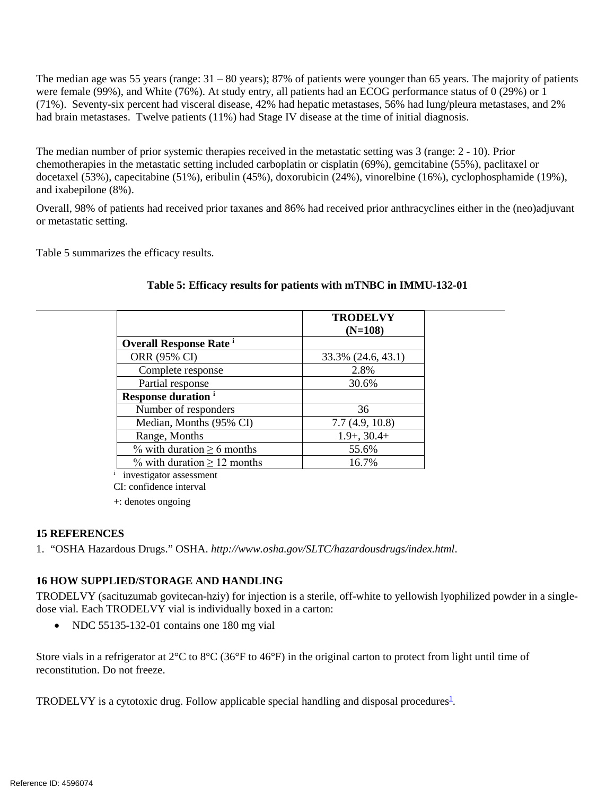<span id="page-15-0"></span> The median age was 55 years (range: 31 – 80 years); 87% of patients were younger than 65 years. The majority of patients (71%). Seventy-six percent had visceral disease, 42% had hepatic metastases, 56% had lung/pleura metastases, and 2% had brain metastases. Twelve patients (11%) had Stage IV disease at the time of initial diagnosis. were female (99%), and White (76%). At study entry, all patients had an ECOG performance status of 0 (29%) or 1

 The median number of prior systemic therapies received in the metastatic setting was 3 (range: 2 - 10). Prior chemotherapies in the metastatic setting included carboplatin or cisplatin (69%), gemcitabine (55%), paclitaxel or docetaxel (53%), capecitabine (51%), eribulin (45%), doxorubicin (24%), vinorelbine (16%), cyclophosphamide (19%), and ixabepilone (8%).

Overall, 98% of patients had received prior taxanes and 86% had received prior anthracyclines either in the (neo)adjuvant or metastatic setting.

Table 5 summarizes the efficacy results.

|                                           | <b>TRODELVY</b>    |
|-------------------------------------------|--------------------|
|                                           | $(N=108)$          |
| <b>Overall Response Rate</b> <sup>i</sup> |                    |
| ORR (95% CI)                              | 33.3% (24.6, 43.1) |
| Complete response                         | 2.8%               |
| Partial response                          | 30.6%              |
| <b>Response duration</b> <sup>i</sup>     |                    |
| Number of responders                      | 36                 |
| Median, Months (95% CI)                   | 7.7(4.9, 10.8)     |
| Range, Months                             | $1.9+, 30.4+$      |
| % with duration $\geq 6$ months           | 55.6%              |
| % with duration $\geq 12$ months          | 16.7%              |
| investigator assessment                   |                    |

# **Table 5: Efficacy results for patients with mTNBC in IMMU-132-01**

CI: confidence interval

+: denotes ongoing

# **15 REFERENCES**

1. "OSHA Hazardous Drugs." OSHA. *http://www.osha.gov/SLTC/hazardousdrugs/index.html*.

# **16 HOW SUPPLIED/STORAGE AND HANDLING**

 TRODELVY (sacituzumab govitecan-hziy) for injection is a sterile, off-white to yellowish lyophilized powder in a single-dose vial. Each TRODELVY vial is individually boxed in a carton:

• NDC 55135-132-01 contains one 180 mg vial

Store vials in a refrigerator at  $2^{\circ}C$  to  $8^{\circ}C$  (36°F to 46°F) in the original carton to protect from light until time of reconstitution. Do not freeze.

TRODELVY is a cytotoxic drug. Follow applicable special handling and disposal procedures<sup>1</sup>.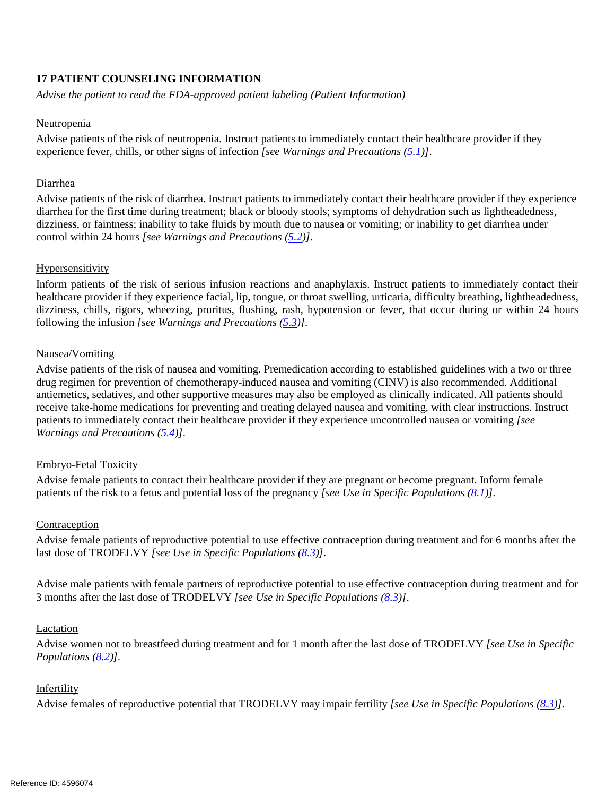# **17 PATIENT COUNSELING INFORMATION**

*Advise the patient to read the FDA-approved patient labeling (Patient Information)* 

#### Neutropenia

 Advise patients of the risk of neutropenia. Instruct patients to immediately contact their healthcare provider if they experience fever, chills, or other signs of infection *[see Warnings and Precautions [\(5.1\)](#page-4-0)]*.

#### Diarrhea

 Advise patients of the risk of diarrhea. Instruct patients to immediately contact their healthcare provider if they experience diarrhea for the first time during treatment; black or bloody stools; symptoms of dehydration such as lightheadedness, dizziness, or faintness; inability to take fluids by mouth due to nausea or vomiting; or inability to get diarrhea under control within 24 hours *[see Warnings and Precautions [\(5.2\)](#page-4-1)].* 

#### Hypersensitivity

 healthcare provider if they experience facial, lip, tongue, or throat swelling, urticaria, difficulty breathing, lightheadedness, Inform patients of the risk of serious infusion reactions and anaphylaxis. Instruct patients to immediately contact their dizziness, chills, rigors, wheezing, pruritus, flushing, rash, hypotension or fever, that occur during or within 24 hours following the infusion *[see Warnings and Precautions [\(5.3\)](#page-4-2)]*.

#### **Nausea/Vomiting**

Nausea/Vomiting<br>Advise patients of the risk of nausea and vomiting. Premedication according to established guidelines with a two or three drug regimen for prevention of chemotherapy-induced nausea and vomiting (CINV) is also recommended. Additional antiemetics, sedatives, and other supportive measures may also be employed as clinically indicated. All patients should receive take-home medications for preventing and treating delayed nausea and vomiting, with clear instructions. Instruct patients to immediately contact their healthcare provider if they experience uncontrolled nausea or vomiting *[see Warnings and Precautions [\(5.4\)](#page-5-0)]*.

#### Embryo-Fetal Toxicity

 Advise female patients to contact their healthcare provider if they are pregnant or become pregnant. Inform female patients of the risk to a fetus and potential loss of the pregnancy *[see Use in Specific Populations [\(8.1\)](#page-10-4)].* 

#### Contraception

Advise female patients of reproductive potential to use effective contraception during treatment and for 6 months after the last dose of TRODELVY *[see Use in Specific Populations [\(8.3\)](#page-10-1)]*.

 3 months after the last dose of TRODELVY *[see Use in Specific Populations [\(8.3\)](#page-10-1)]*. Advise male patients with female partners of reproductive potential to use effective contraception during treatment and for

#### Lactation

Advise women not to breastfeed during treatment and for 1 month after the last dose of TRODELVY *[see Use in Specific Populations [\(8.2\)](#page-10-3)].* 

#### Infertility

Advise females of reproductive potential that TRODELVY may impair fertility *[see Use in Specific Populations [\(8.3\)](#page-10-1)].*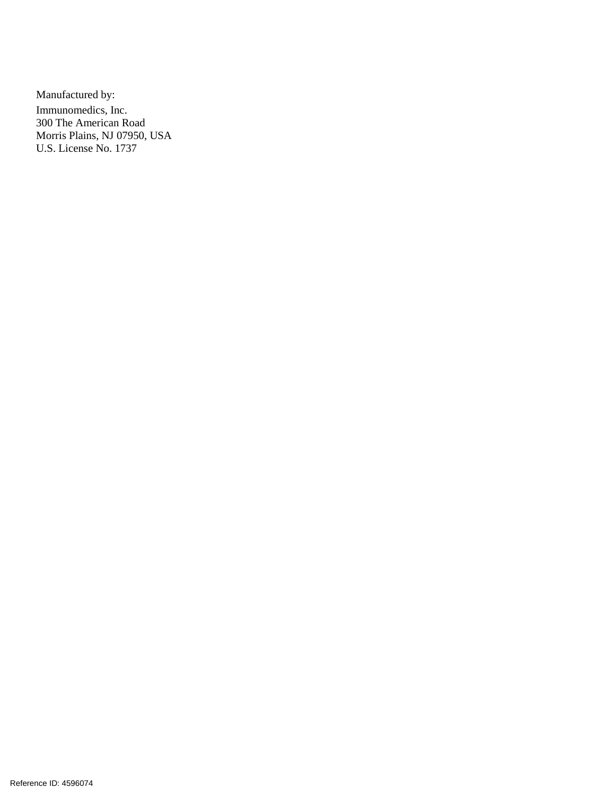U.S. License No. 1737 Manufactured by: Immunomedics, Inc. 300 The American Road Morris Plains, NJ 07950, USA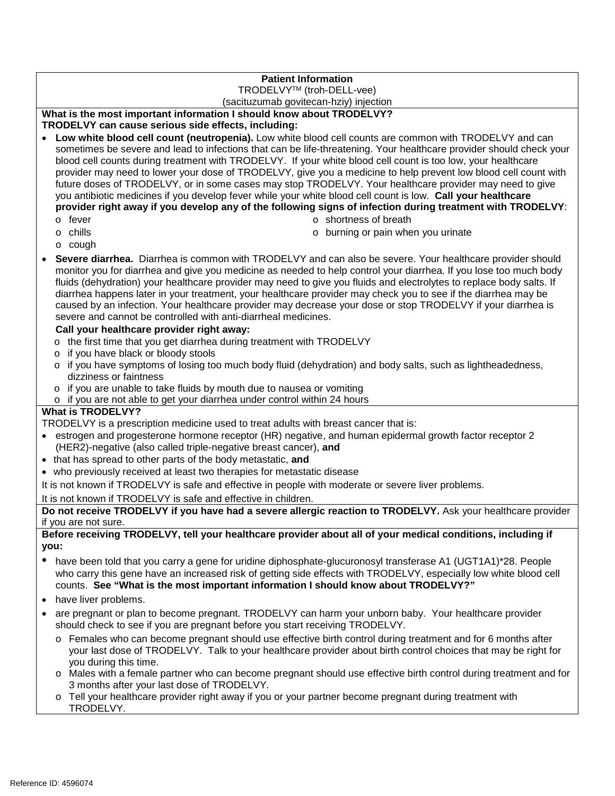# **Patient Information**

#### TRODELVYTM (troh-DELL-vee)

(sacituzumab govitecan-hziy) injection

# **What is the most important information I should know about TRODELVY?**

# **TRODELVY can cause serious side effects, including:**

- blood cell counts during treatment with TRODELVY. If your white blood cell count is too low, your healthcare provider may need to lower your dose of TRODELVY, give you a medicine to help prevent low blood cell count with you antibiotic medicines if you develop fever while your white blood cell count is low. **Call your healthcare**  • **Low white blood cell count (neutropenia).** Low white blood cell counts are common with TRODELVY and can sometimes be severe and lead to infections that can be life-threatening. Your healthcare provider should check your future doses of TRODELVY, or in some cases may stop TRODELVY. Your healthcare provider may need to give **provider right away if you develop any of the following signs of infection during treatment with TRODELVY**:
	- o fever

o shortness of breath

o chills

o burning or pain when you urinate

- o cough
- **Severe diarrhea.** Diarrhea is common with TRODELVY and can also be severe. Your healthcare provider should monitor you for diarrhea and give you medicine as needed to help control your diarrhea. If you lose too much body fluids (dehydration) your healthcare provider may need to give you fluids and electrolytes to replace body salts. If diarrhea happens later in your treatment, your healthcare provider may check you to see if the diarrhea may be caused by an infection. Your healthcare provider may decrease your dose or stop TRODELVY if your diarrhea is severe and cannot be controlled with anti-diarrheal medicines.

#### **Call your healthcare provider right away:**

- o the first time that you get diarrhea during treatment with TRODELVY
- o if you have black or bloody stools
- o if you have symptoms of losing too much body fluid (dehydration) and body salts, such as lightheadedness, dizziness or faintness
- o if you are unable to take fluids by mouth due to nausea or vomiting
- o if you are not able to get your diarrhea under control within 24 hours

#### **What is TRODELVY?**

TRODELVY is a prescription medicine used to treat adults with breast cancer that is:

- estrogen and progesterone hormone receptor (HR) negative, and human epidermal growth factor receptor 2 (HER2)-negative (also called triple-negative breast cancer), **and**
- that has spread to other parts of the body metastatic, **and**
- who previously received at least two therapies for metastatic disease

It is not known if TRODELVY is safe and effective in people with moderate or severe liver problems.

#### It is not known if TRODELVY is safe and effective in children.

**Do not receive TRODELVY if you have had a severe allergic reaction to TRODELVY.** Ask your healthcare provider if you are not sure.

#### **Before receiving TRODELVY, tell your healthcare provider about all of your medical conditions, including if you:**

- who carry this gene have an increased risk of getting side effects with TRODELVY, especially low white blood cell counts. **See "What is the most important information I should know about TRODELVY?"**  • have been told that you carry a gene for uridine diphosphate-glucuronosyl transferase A1 (UGT1A1)\*28. People
- have liver problems.
- • are pregnant or plan to become pregnant. TRODELVY can harm your unborn baby. Your healthcare provider should check to see if you are pregnant before you start receiving TRODELVY.
	- o Females who can become pregnant should use effective birth control during treatment and for 6 months after your last dose of TRODELVY. Talk to your healthcare provider about birth control choices that may be right for you during this time.
	- 3 months after your last dose of TRODELVY. o Males with a female partner who can become pregnant should use effective birth control during treatment and for
	- o Tell your healthcare provider right away if you or your partner become pregnant during treatment with TRODELVY.